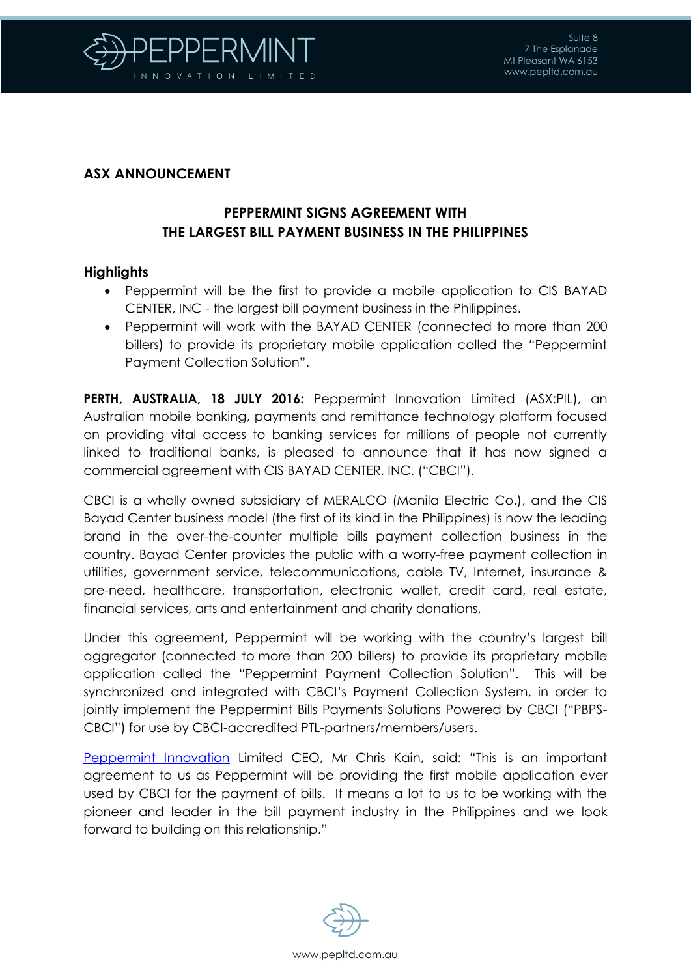

## **ASX ANNOUNCEMENT**

# **PEPPERMINT SIGNS AGREEMENT WITH THE LARGEST BILL PAYMENT BUSINESS IN THE PHILIPPINES**

### **Highlights**

- Peppermint will be the first to provide a mobile application to CIS BAYAD CENTER, INC - the largest bill payment business in the Philippines.
- Peppermint will work with the BAYAD CENTER (connected to more than 200 billers) to provide its proprietary mobile application called the "Peppermint Payment Collection Solution".

**PERTH, AUSTRALIA, 18 JULY 2016:** Peppermint Innovation Limited (ASX:PIL), an Australian mobile banking, payments and remittance technology platform focused on providing vital access to banking services for millions of people not currently linked to traditional banks, is pleased to announce that it has now signed a commercial agreement with CIS BAYAD CENTER, INC. ("CBCI").

CBCI is a wholly owned subsidiary of MERALCO (Manila Electric Co.), and the CIS Bayad Center business model (the first of its kind in the Philippines) is now the leading brand in the over-the-counter multiple bills payment collection business in the country. Bayad Center provides the public with a worry-free payment collection in utilities, government service, telecommunications, cable TV, Internet, insurance & pre-need, healthcare, transportation, electronic wallet, credit card, real estate, financial services, arts and entertainment and charity donations,

Under this agreement, Peppermint will be working with the country's largest bill aggregator (connected to more than 200 billers) to provide its proprietary mobile application called the "Peppermint Payment Collection Solution". This will be synchronized and integrated with CBCI's Payment Collection System, in order to jointly implement the Peppermint Bills Payments Solutions Powered by CBCI ("PBPS-CBCI") for use by CBCI-accredited PTL-partners/members/users.

[Peppermint Innovation](http://www.pepltd.com.au/) Limited CEO, Mr Chris Kain, said: "This is an important agreement to us as Peppermint will be providing the first mobile application ever used by CBCI for the payment of bills. It means a lot to us to be working with the pioneer and leader in the bill payment industry in the Philippines and we look forward to building on this relationship."